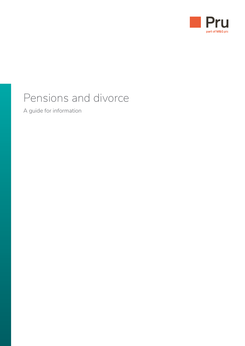

# Pensions and divorce

A guide for information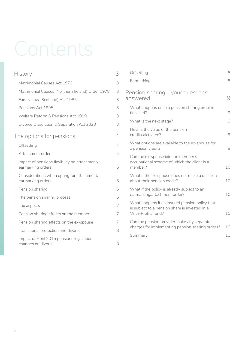# Contents

| History                                                            |   |
|--------------------------------------------------------------------|---|
| Matrimonial Causes Act 1973                                        | 3 |
| Matrimonial Causes (Northern Ireland) Order 1978                   | 3 |
| Family Law (Scotland) Act 1985                                     | 3 |
| Pensions Act 1995                                                  | 3 |
| Welfare Reform & Pensions Act 1999                                 | 3 |
| Divorce Dissolution & Separation Act 2020                          | 3 |
| The options for pensions                                           | 4 |
| Offsetting                                                         | 4 |
| Attachment orders                                                  | 4 |
| Impact of pensions flexibility on attachment/<br>earmarking orders | 5 |
| Considerations when opting for attachment/<br>earmarking orders    | 5 |
| Pension sharing                                                    | 6 |
| The pension sharing process                                        | 6 |
| Tax aspects                                                        | 7 |
| Pension sharing effects on the member                              | 7 |
| Pension sharing effects on the ex-spouse                           | 7 |
| Transitional protection and divorce                                | 8 |
| Impact of April 2015 pensions legislation<br>changes on divorce    | 8 |

| Offsetting                                                                                                             | 8              |
|------------------------------------------------------------------------------------------------------------------------|----------------|
| Earmarking                                                                                                             | 8              |
| Pension sharing – your questions<br>answered                                                                           | 9              |
| What happens once a pension sharing order is<br>finalised?                                                             | $\Theta$       |
| What is the next stage?                                                                                                | 9              |
| How is the value of the pension<br>credit calculated?                                                                  | 9              |
| What options are available to the ex-spouse for<br>a pension credit?                                                   | $\overline{9}$ |
| Can the ex-spouse join the member's<br>occupational scheme of which the client is a<br>member?                         | 10             |
| What if the ex-spouse does not make a decision<br>about their pension credit?                                          | 10             |
| What if the policy is already subject to an<br>earmarking/attachment order?                                            | 10             |
| What happens if an insured pension policy that<br>is subject to a pension share is invested in a<br>With-Profits fund? | 10             |
| Can the pension provider make any separate<br>charges for implementing pension sharing orders?                         | 10             |
| Summary                                                                                                                | 11             |
|                                                                                                                        |                |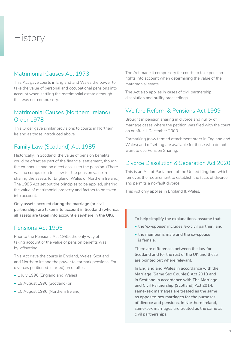# <span id="page-2-0"></span>**History**

#### Matrimonial Causes Act 1973

This Act gave courts in England and Wales the power to take the value of personal and occupational pensions into account when settling the matrimonial estate although this was not compulsory.

#### Matrimonial Causes (Northern Ireland) Order 1978

This Order gave similar provisions to courts in Northern Ireland as those introduced above.

#### Family Law (Scotland) Act 1985

Historically, in Scotland, the value of pension benefits could be offset as part of the financial settlement, though the ex-spouse had no direct access to the pension. (There was no compulsion to allow for the pension value in sharing the assets for England, Wales or Northern Ireland.) The 1985 Act set out the principles to be applied, sharing the value of matrimonial property and factors to be taken into account.

**Only assets accrued during the marriage (or civil partnership) are taken into account in Scotland (whereas all assets are taken into account elsewhere in the UK).**

#### Pensions Act 1995

Prior to the Pensions Act 1995, the only way of taking account of the value of pension benefits was by 'offsetting'.

This Act gave the courts in England, Wales, Scotland and Northern Ireland the power to earmark pensions. For divorces petitioned (started) on or after:

- 1 July 1996 (England and Wales)
- 19 August 1996 (Scotland) or
- 10 August 1996 (Northern Ireland).

The Act made it compulsory for courts to take pension rights into account when determining the value of the matrimonial estate.

The Act also applies in cases of civil partnership dissolution and nullity proceedings.

#### Welfare Reform & Pensions Act 1999

Brought in pension sharing in divorce and nullity of marriage cases where the petition was filed with the court on or after 1 December 2000.

Earmarking (now termed attachment order in England and Wales) and offsetting are available for those who do not want to use Pension Sharing.

#### Divorce Dissolution & Separation Act 2020

This is an Act of Parliament of the United Kingdom which removes the requirement to establish the facts of divorce and permits a no-fault divorce.

This Act only applies in England & Wales.

**To help simplify the explanations, assume that**

- **the 'ex-spouse' includes 'ex-civil partner', and**  $\Bigg\vert_{\begin{array}{c} \tau_0 \ \bullet \end{array}}$ 
	- **the member is male and the ex-spouse is female.**

**There are differences between the law for Scotland and for the rest of the UK and these are pointed out where relevant.**

**In England and Wales in accordance with the Marriage (Same Sex Couples) Act 2013 and in Scotland in accordance with The Marriage and Civil Partnership (Scotland) Act 2014, same-sex marriages are treated as the same as opposite-sex marriages for the purposes of divorce and pensions. In Northern Ireland, same-sex marriages are treated as the same as civil partnerships.**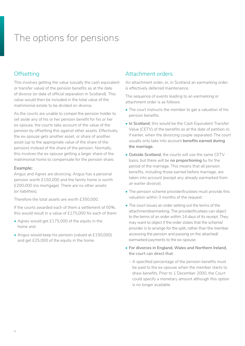# <span id="page-3-0"></span>The options for pensions

## **Offsetting**

This involves getting the value (usually the cash equivalent or transfer value) of the pension benefits as at the date of divorce (or date of official separation in Scotland). This value would then be included in the total value of the matrimonial estate to be divided on divorce.

As the courts are unable to compel the pension holder to set aside any of his or her pension benefit for his or her ex-spouse, the courts take account of the value of the pension by offsetting this against other assets. Effectively, the ex-spouse gets another asset, or share of another asset (up to the appropriate value of the share of the pension) instead of the share of the pension. Normally, this involves the ex-spouse getting a larger share of the matrimonial home to compensate for the pension share.

#### **Example:**

Angus and Agnes are divorcing. Angus has a personal pension worth £150,000 and the family home is worth £200,000 (no mortgage). There are no other assets (or liabilities).

Therefore the total assets are worth £350,000.

If the courts awarded each of them a settlement of 50%, this would result in a value of £175,000 for each of them:

- Agnes would get £175,000 of the equity in the home and
- Angus would keep his pension (valued at £150,000) and get £25,000 of the equity in the home.

#### Attachment orders

An attachment order, or, in Scotland an earmarking order, is effectively deferred maintenance.

The sequence of events leading to an earmarking or attachment order is as follows:

- The court instructs the member to get a valuation of his pension benefits.
- **In Scotland**, this would be the Cash Equivalent Transfer Value (CETV) of the benefits as at the date of petition or, if earlier, when the divorcing couple separated. The court usually only take into account **benefits earned during the marriage.**
- **Outside Scotland**, the courts will use the same CETV basis, but there will be **no proportioning** by for the period of the marriage. This means that all pension benefits, including those earned before marriage, are taken into account (except any already earmarked from an earlier divorce).
- The pension scheme provider/trustees must provide this valuation within 3 months of the request.
- The court issues an order setting out the terms of the attachment/earmarking. The provider/trustees can object to the terms of an order within 14 days of its receipt. They may want to object if the order states that the scheme/ provider is to arrange for the split, rather than the member accessing the pension and passing on the attached/ earmarked payments to the ex-spouse.
- **For divorces in England, Wales and Northern Ireland**, the court can direct that:
	- ‒ A specified percentage of the pension benefits must be paid to the ex-spouse when the member starts to draw benefits. Prior to 1 December 2000, the Court could specify a monetary amount although this option is no longer available.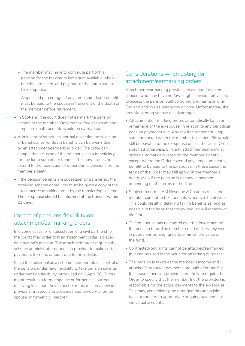- <span id="page-4-0"></span>‒ The member may have to commute part of his pension for the maximum lump sum available when benefits are taken, and pay part of that lump sum to his ex-spouse.
- ‒ A specified percentage of any lump sum death benefit must be paid to the spouse in the event of the death of the member before retirement.
- **In Scotland**, the court does not earmark the pension income of the member. Only the tax-free cash sum and lump sum death benefits would be earmarked.
- Administrator's/trustees' normal discretion on selection of beneficiaries for death benefits can be over-ridden by an attachment/earmarking order. The order can compel the inclusion of the ex-spouse as a beneficiary for any lump sum death benefit. This power does not extend to the redirection of dependant's pensions on the member's death.
- If the pension benefits are subsequently transferred, the receiving scheme or provider must be given a copy of the attachment/earmarking order by the transferring scheme. The ex-spouse should be informed of the transfer within 21 days.

## Impact of pensions flexibility on attachment/earmarking orders

In divorce cases, or on dissolution of a civil partnership, the courts may order that an attachment order is placed on a person's pension. The attachment order requires the scheme administrator or pension provider to make certain payments from the amount due to the individual.

Since the individual as a scheme member retains control of the pension, under new flexibility to take pension savings under pension flexibility introduced on 6 April 2015, this might result in a former spouse or former civil partner receiving less than they expect. For this reason a pension providers, trustees and advisers need to notify a former spouse or former civil partner.

### Considerations when opting for attachment/earmarking orders

Attachment/earmarking provides an avenue for an exspouse, who may have no "own-right" pension provision, to access the pension built up during the marriage, or in England and Wales before the divorce. Unfortunately, the provisions bring various disadvantages:

- Attachment/earmarking orders automatically lapse on remarriage of the ex-spouse, in relation to any periodical pension payments due. Any tax free retirement lump sum earmarked when the member takes benefits would still be payable to the ex-spouse unless the Court Order specified otherwise. Similarly attachment/earmarking orders automatically lapse on the member's death, except where the Order covered any lump sum death benefit to be paid to the ex-spouse. In these cases the terms of the Order may still apply on the member's death, even if the pension is already in payment depending on the terms of the Order.
- Subject to normal HM Revenue & Customs rules, the member can opt to take benefits whenever he decides. This could result in delaying taking benefits as long as possible in the hope that the ex-spouse will remarry or die first.
- The ex-spouse has no control over the investment of the pension fund. The member could deliberately invest in poorly performing funds to diminish the value of the fund.
- Contracted-out rights cannot be attached/earmarked (but can be used in the value for offsetting purposes).
- The pension is taxed as the member's income and attached/earmarked payments are paid after tax. For this reason, pension providers are likely to require the Order to specify that the member (not the provider) is responsible for the actual payments to the ex-spouse. This may, conveniently, be arranged through a joint bank account with appropriate ongoing payments to individual accounts.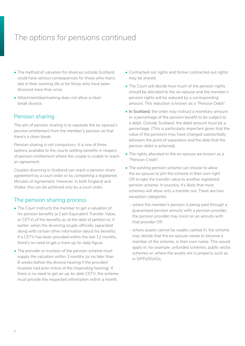# <span id="page-5-0"></span>*The options for pensions continued*

- The method of valuation for divorces outside Scotland could have serious consequences for those who marry late in their working life or for those who have been divorced more than once.
- Attachment/earmarking does not allow a clean break divorce.

#### Pension sharing

The aim of pension sharing is to separate the ex-spouse's pension entitlement from the member's pension so that there's a clean break.

Pension sharing is not compulsory. It is one of three options available to the courts settling benefits in respect of pension entitlement where the couple is unable to reach an agreement.

Couples divorcing in Scotland can reach a pension share agreement by a court order or by completing a registered Minutes of Agreement. However, in both England and Wales, this can be achieved only by a court order.

#### The pension sharing process

- The Court instructs the member to get a valuation of his pension benefits (a Cash Equivalent Transfer Value, or CETV) of the benefits as at the date of petition or, if earlier, when the divorcing couple officially separated along with certain other information about his benefits. If a CETV has been provided within the last 12 months, there's no need to get a more up-to-date figure.
- The provider or trustees of the pension scheme must supply the valuation within 3 months (or no later than 6 weeks before the divorce hearing if the provider/ trustees had prior notice of the impending hearing). If there is no need to get an up-to-date CETV, the scheme must provide the requested information within a month.
- Contracted-out rights and former contracted-out rights may be shared.
- The Court will decide how much of the pension rights should be allocated to the ex-spouse and the member's pension rights will be reduced by a corresponding amount. This reduction is known as a "Pension Debit".
- **In Scotland**, the order may instruct a monetary amount or a percentage of the pension benefit to be subject to a debit. Outside Scotland, the debit amount must be a percentage. (This is particularly important given that the value of the pensions may have changed substantially between the point of separation and the date that the pension debit is actioned).
- The rights allocated to the ex-spouse are known as a "Pension Credit".
- The existing pension scheme can choose to allow the ex-spouse to join the scheme in their own right OR to take the transfer value to another registered pension scheme. In practice, it's likely that most schemes will allow only a transfer out. There are two exception categories:
	- ‒ where the member's pension is being paid through a guaranteed pension annuity with a pension provider, the pension provider may insist on an annuity with that provider OR
	- ‒ where assets cannot be readily cashed in, the scheme may decide that the ex-spouse needs to become a member of the scheme, in their own name. This would apply in, for example, unfunded schemes, public sector schemes or, where the assets are in property such as in SIPPs/SSASs.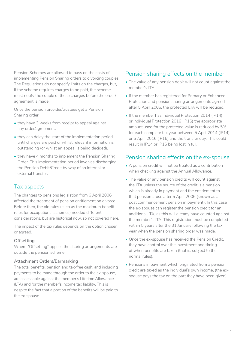<span id="page-6-0"></span>Pension Schemes are allowed to pass on the costs of implementing Pension Sharing orders to divorcing couples. The Regulations do not specify limits on the charges, but, if the scheme requires charges to be paid, the scheme must notify the couple of these charges before the order/ agreement is made.

Once the pension provider/trustees get a Pension Sharing order:

- they have 3 weeks from receipt to appeal against any order/agreement.
- they can delay the start of the implementation period until charges are paid or whilst relevant information is outstanding (or whilst an appeal is being decided).
- they have 4 months to implement the Pension Sharing Order. This implementation period involves discharging the Pension Debit/Credit by way of an internal or external transfer.

#### Tax aspects

The changes to pensions legislation from 6 April 2006 affected the treatment of pension entitlement on divorce. Before then, the old rules (such as the maximum benefit rules for occupational schemes) needed different considerations, but are historical now, so not covered here.

The impact of the tax rules depends on the option chosen, or agreed.

#### **Offsetting**

Where "Offsetting" applies the sharing arrangements are outside the pension scheme.

#### **Attachment Orders/Earmarking**

The total benefits, pension and tax-free cash, and including payments to be made through the order to the ex-spouse, are assessable against the member's Lifetime Allowance (LTA) and for the member's income tax liability. This is despite the fact that a portion of the benefits will be paid to the ex-spouse.

#### Pension sharing effects on the member

- The value of any pension debit will not count against the member's LTA.
- If the member has registered for Primary or Enhanced Protection and pension sharing arrangements agreed after 5 April 2006, the protected LTA will be reduced.
- If the member has Individual Protection 2014 (IP14) or Individual Protection 2016 (IP16) the appropriate amount used for the protected value is reduced by 5% for each complete tax year between 5 April 2014 (IP14) or 5 April 2016 (IP16) and the transfer day. This could result in IP14 or IP16 being lost in full.

#### Pension sharing effects on the ex-spouse

- A pension credit will not be treated as a contribution when checking against the Annual Allowance.
- The value of any pension credits will count against the LTA unless the source of the credit is a pension which is already in payment and the entitlement to that pension arose after 5 April 2006 (known as a post commencement pension in payment). In this case the ex-spouse can register the pension credit for an additional LTA, as this will already have counted against the member's LTA. This registration must be completed within 5 years after the 31 January following the tax year when the pension sharing order was made.
- Once the ex-spouse has received the Pension Credit, they have control over the investment and timing of when benefits are taken (that is, subject to the normal rules).
- Pensions in payment which originated from a pension credit are taxed as the individual's own income, (the exspouse pays the tax on the part they have been given).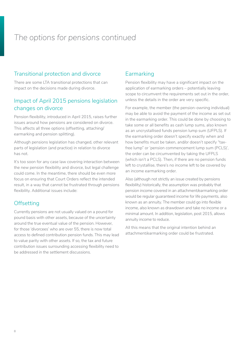# <span id="page-7-0"></span>*The options for pensions continued*

#### Transitional protection and divorce

There are some LTA transitional protections that can impact on the decisions made during divorce.

### Impact of April 2015 pensions legislation changes on divorce

Pension flexibility, introduced in April 2015, raises further issues around how pensions are considered on divorce. This affects all three options (offsetting, attaching/ earmarking and pension splitting).

Although pensions legislation has changed, other relevant parts of legislation (and practice) in relation to divorce has not.

It's too soon for any case law covering interaction between the new pension flexibility and divorce, but legal challenge could come. In the meantime, there should be even more focus on ensuring that Court Orders reflect the intended result, in a way that cannot be frustrated through pensions flexibility. Additional issues include:

#### **Offsetting**

Currently pensions are not usually valued on a pound for pound basis with other assets, because of the uncertainty around the true eventual value of the pension. However, for those 'divorcees' who are over 55, there is now total access to defined contribution pension funds. This may lead to value parity with other assets. If so, the tax and future contribution issues surrounding accessing flexibility need to be addressed in the settlement discussions.

## Earmarking

Pension flexibility may have a significant impact on the application of earmarking orders – potentially leaving scope to circumvent the requirements set out in the order, unless the details in the order are very specific.

For example, the member (the pension-owning individual) may be able to avoid the payment of the income as set out in the earmarking order. This could be done by choosing to take some or all benefits as cash lump sums, also known as an uncrystallised funds pension lump sum (UFPLS). If the earmarking order doesn't specify exactly when and how benefits must be taken, and/or doesn't specify "taxfree lump" or 'pension commencement lump sum (PCLS)', the order can be circumvented by taking the UFPLS (which isn't a PCLS). Then, if there are no pension funds left to crystallise, there's no income left to be covered by an income earmarking order.

Also (although not strictly an issue created by pensions flexibility) historically, the assumption was probably that pension income covered in an attachment/earmarking order would be regular guaranteed income for life payments, also known as an annuity. The member could go into flexible income, also known as drawdown and take no income or a minimal amount. In addition, legislation, post 2015, allows annuity income to reduce.

All this means that the original intention behind an attachment/earmarking order could be frustrated.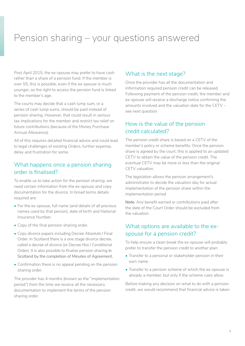# <span id="page-8-0"></span>Pension sharing – your questions answered

Post April 2015, the ex-spouse may prefer to have cash rather than a share of a pension fund. If the member is over 55, this is possible, even if the ex-spouse is much younger, as the right to access the pension fund is linked to the member's age.

The courts may decide that a cash lump sum, or a series of cash lump sums, should be paid instead of pension sharing. However, that could result in serious tax implications for the member and restrict tax relief on future contributions (because of the Money Purchase Annual Allowance).

All of this requires detailed financial advice and could lead to legal challenges of existing Orders, further expense, delay and frustration for some.

#### What happens once a pension sharing order is finalised?

To enable us to take action for the pension sharing, we need certain information from the ex-spouse and copy documentation for the divorce. In broad terms details required are:

- For the ex-spouse, full name (and details of all previous names used by that person), date of birth and National Insurance Number.
- Copy of the final pension sharing order.
- Copy divorce papers including Decree Absolute / Final Order. In Scotland there is a one stage divorce decree, called a decree of divorce (or Decree Nisi / Conditional Order). It is also possible to finalise pension sharing in Scotland by the completion of Minutes of Agreement.
- Confirmation there is no appeal pending on the pension sharing order.

The provider has 4 months (known as the "implementation period") from the time we receive all the necessary documentation to implement the terms of the pension sharing order.

#### What is the next stage?

Once the provider has all the documentation and information required pension credit can be released. Following payment of the pension credit, the member and ex-spouse will receive a discharge notice confirming the amounts involved and the valuation date for the CETV – see next question.

#### How is the value of the pension credit calculated?

The pension credit share is based on a CETV of the member's policy or scheme benefits. Once the pension share is agreed by the court, this is applied to an updated CETV to obtain the value of the pension credit. The eventual CETV may be more or less than the original CETV valuation.

The legislation allows the pension arrangement's administrator to decide the valuation day for actual implementation of the pension share within the implementation period.

**Note**: Any benefit earned or contributions paid after the date of the Court Order should be excluded from the valuation.

#### What options are available to the exspouse for a pension credit?

To help ensure a clean break the ex-spouse will probably prefer to transfer the pension credit to another plan:

- Transfer to a personal or stakeholder pension in their own name.
- Transfer to a pension scheme of which the ex-spouse is already a member, but only if the scheme rules allow.

Before making any decision on what to do with a pension credit, we would recommend that financial advice is taken.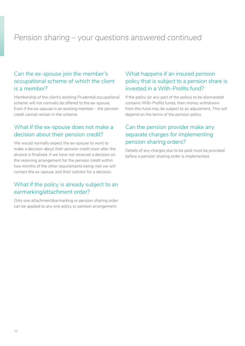# <span id="page-9-0"></span>*Pension sharing – your questions answered continued*

#### Can the ex-spouse join the member's occupational scheme of which the client is a member?

Membership of the client's existing Prudential occupational scheme will not normally be offered to the ex-spouse. Even if the ex-spouse is an existing member – the pension credit cannot remain in the scheme.

### What if the ex-spouse does not make a decision about their pension credit?

We would normally expect the ex-spouse to want to make a decision about their pension credit soon after the divorce is finalised. If we have not received a decision on the receiving arrangement for the pension credit within two months of the other requirements being met we will contact the ex-spouse and their solicitor for a decision.

#### What if the policy is already subject to an earmarking/attachment order?

Only one attachment/earmarking or pension sharing order can be applied to any one policy or pension arrangement.

### What happens if an insured pension policy that is subject to a pension share is invested in a With-Profits fund?

If the policy (or any part of the policy) to be disinvested contains With-Profits funds, then money withdrawn from this fund may be subject to an adjustment. This will depend on the terms of the pension policy.

### Can the pension provider make any separate charges for implementing pension sharing orders?

Details of any charges due to be paid must be provided before a pension sharing order is implemented.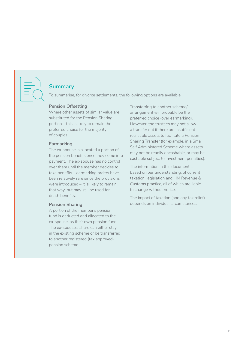<span id="page-10-0"></span>

#### **Summary**

To summarise, for divorce settlements, the following options are available:

#### **Pension Offsetting**

Where other assets of similar value are substituted for the Pension Sharing portion – this is likely to remain the preferred choice for the majority of couples.

#### **Earmarking**

The ex-spouse is allocated a portion of the pension benefits once they come into payment. The ex-spouse has no control over them until the member decides to take benefits – earmarking orders have been relatively rare since the provisions were introduced – it is likely to remain that way, but may still be used for death benefits.

#### **Pension Sharing**

A portion of the member's pension fund is deducted and allocated to the ex-spouse, as their own pension fund. The ex-spouse's share can either stay in the existing scheme or be transferred to another registered (tax approved) pension scheme.

Transferring to another scheme/ arrangement will probably be the preferred choice (over earmarking). However, the trustees may not allow a transfer out if there are insufficient realisable assets to facilitate a Pension Sharing Transfer (for example, in a Small Self Administered Scheme where assets may not be readily encashable, or may be cashable subject to investment penalties).

The information in this document is based on our understanding, of current taxation, legislation and HM Revenue & Customs practice, all of which are liable to change without notice.

The impact of taxation (and any tax relief) depends on individual circumstances.